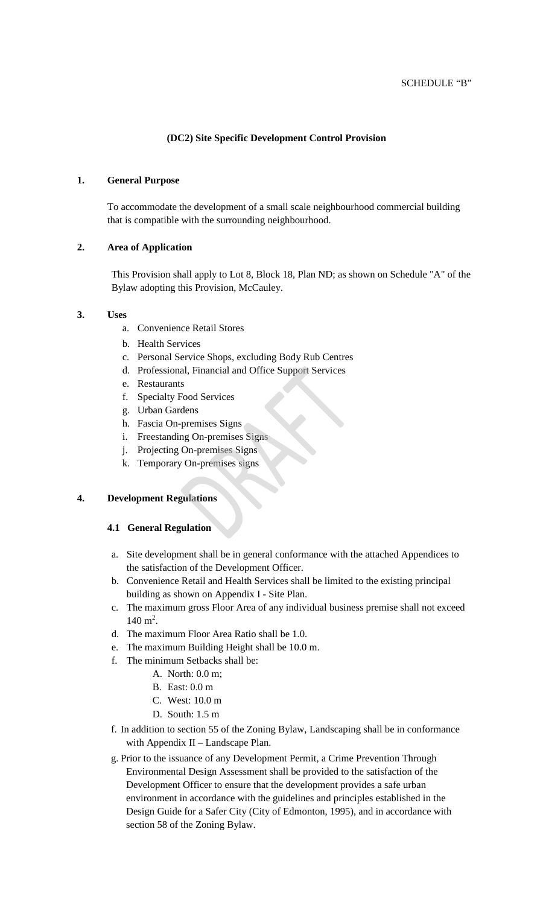# **(DC2) Site Specific Development Control Provision**

## **1. General Purpose**

To accommodate the development of a small scale neighbourhood commercial building that is compatible with the surrounding neighbourhood.

## **2. Area of Application**

This Provision shall apply to Lot 8, Block 18, Plan ND; as shown on Schedule "A" of the Bylaw adopting this Provision, McCauley.

#### **3. Uses**

- a. Convenience Retail Stores
- b. Health Services
- c. Personal Service Shops, excluding Body Rub Centres
- d. Professional, Financial and Office Support Services
- e. Restaurants
- f. Specialty Food Services
- g. Urban Gardens
- h. Fascia On-premises Signs
- i. Freestanding On-premises Signs
- j. Projecting On-premises Signs
- k. Temporary On-premises signs

## **4. Development Regulations**

#### **4.1 General Regulation**

- a. Site development shall be in general conformance with the attached Appendices to the satisfaction of the Development Officer.
- b. Convenience Retail and Health Services shall be limited to the existing principal building as shown on Appendix I - Site Plan.
- c. The maximum gross Floor Area of any individual business premise shall not exceed  $140 \text{ m}^2$ .
- d. The maximum Floor Area Ratio shall be 1.0.
- e. The maximum Building Height shall be 10.0 m.
- f. The minimum Setbacks shall be:
	- A. North: 0.0 m;
		- B. East: 0.0 m
		- C. West: 10.0 m
		- D. South: 1.5 m
- f. In addition to section 55 of the Zoning Bylaw, Landscaping shall be in conformance with Appendix II – Landscape Plan.
- g. Prior to the issuance of any Development Permit, a Crime Prevention Through Environmental Design Assessment shall be provided to the satisfaction of the Development Officer to ensure that the development provides a safe urban environment in accordance with the guidelines and principles established in the Design Guide for a Safer City (City of Edmonton, 1995), and in accordance with section 58 of the Zoning Bylaw.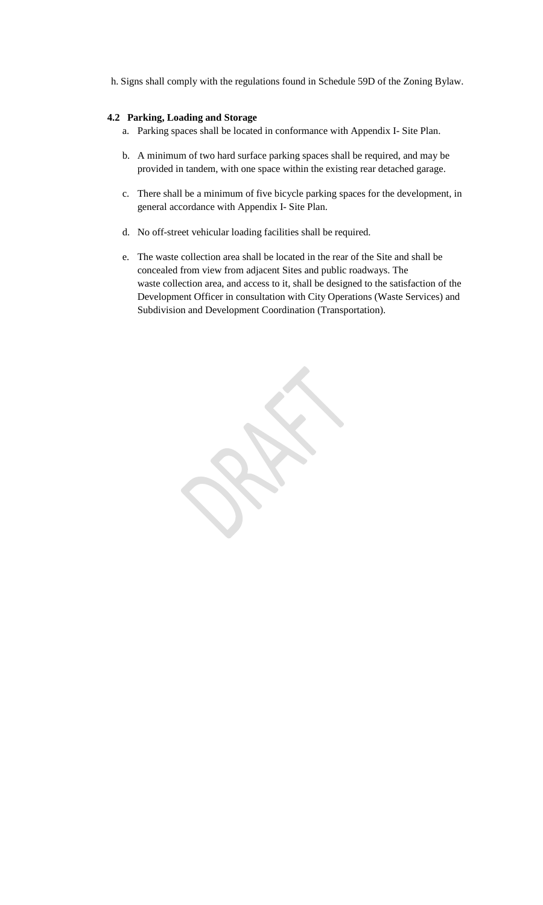h. Signs shall comply with the regulations found in Schedule 59D of the Zoning Bylaw.

## **4.2 Parking, Loading and Storage**

- a. Parking spaces shall be located in conformance with Appendix I- Site Plan.
- b. A minimum of two hard surface parking spaces shall be required, and may be provided in tandem, with one space within the existing rear detached garage.
- c. There shall be a minimum of five bicycle parking spaces for the development, in general accordance with Appendix I- Site Plan.
- d. No off-street vehicular loading facilities shall be required.
- e. The waste collection area shall be located in the rear of the Site and shall be concealed from view from adjacent Sites and public roadways. The waste collection area, and access to it, shall be designed to the satisfaction of the Development Officer in consultation with City Operations (Waste Services) and Subdivision and Development Coordination (Transportation).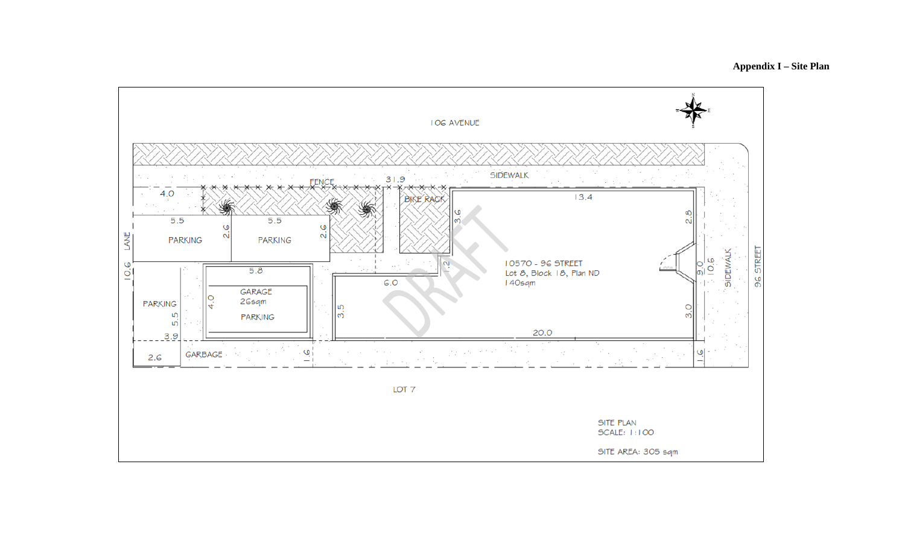